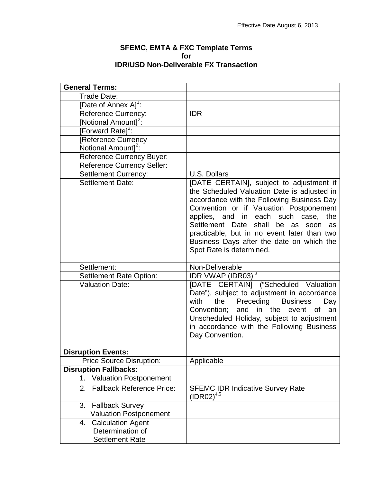## **SFEMC, EMTA & FXC Template Terms for IDR/USD Non-Deliverable FX Transaction**

| <b>General Terms:</b>               |                                                                                                                                                                                                                                                                                                                                                                                                          |
|-------------------------------------|----------------------------------------------------------------------------------------------------------------------------------------------------------------------------------------------------------------------------------------------------------------------------------------------------------------------------------------------------------------------------------------------------------|
| Trade Date:                         |                                                                                                                                                                                                                                                                                                                                                                                                          |
| [Date of Annex A] <sup>1</sup> :    |                                                                                                                                                                                                                                                                                                                                                                                                          |
| <b>Reference Currency:</b>          | <b>IDR</b>                                                                                                                                                                                                                                                                                                                                                                                               |
| [Notional Amount] <sup>2</sup> :    |                                                                                                                                                                                                                                                                                                                                                                                                          |
| [Forward Rate] <sup>2</sup> :       |                                                                                                                                                                                                                                                                                                                                                                                                          |
| [Reference Currency                 |                                                                                                                                                                                                                                                                                                                                                                                                          |
| Notional Amount] <sup>2</sup> :     |                                                                                                                                                                                                                                                                                                                                                                                                          |
| <b>Reference Currency Buyer:</b>    |                                                                                                                                                                                                                                                                                                                                                                                                          |
| <b>Reference Currency Seller:</b>   |                                                                                                                                                                                                                                                                                                                                                                                                          |
| <b>Settlement Currency:</b>         | U.S. Dollars                                                                                                                                                                                                                                                                                                                                                                                             |
| <b>Settlement Date:</b>             | [DATE CERTAIN], subject to adjustment if<br>the Scheduled Valuation Date is adjusted in<br>accordance with the Following Business Day<br>Convention or if Valuation Postponement<br>applies, and in each such case,<br>the<br>Settlement Date<br>shall<br>be<br>as<br>soon<br>as<br>practicable, but in no event later than two<br>Business Days after the date on which the<br>Spot Rate is determined. |
| Settlement:                         | Non-Deliverable                                                                                                                                                                                                                                                                                                                                                                                          |
| <b>Settlement Rate Option:</b>      | IDR VWAP (IDR03) $3$                                                                                                                                                                                                                                                                                                                                                                                     |
| <b>Valuation Date:</b>              | [DATE CERTAIN] ("Scheduled Valuation<br>Date"), subject to adjustment in accordance<br>with<br>Preceding<br><b>Business</b><br>the<br>Day<br>and in the<br>an<br>Convention;<br>event of<br>Unscheduled Holiday, subject to adjustment<br>in accordance with the Following Business                                                                                                                      |
|                                     | Day Convention.                                                                                                                                                                                                                                                                                                                                                                                          |
| <b>Disruption Events:</b>           |                                                                                                                                                                                                                                                                                                                                                                                                          |
| <b>Price Source Disruption:</b>     | Applicable                                                                                                                                                                                                                                                                                                                                                                                               |
| <b>Disruption Fallbacks:</b>        |                                                                                                                                                                                                                                                                                                                                                                                                          |
| <b>Valuation Postponement</b><br>1. |                                                                                                                                                                                                                                                                                                                                                                                                          |
| Fallback Reference Price:<br>2.     | <b>SFEMC IDR Indicative Survey Rate</b><br>$(IDR02)^{4,5}$                                                                                                                                                                                                                                                                                                                                               |
| 3.<br><b>Fallback Survey</b>        |                                                                                                                                                                                                                                                                                                                                                                                                          |
| <b>Valuation Postponement</b>       |                                                                                                                                                                                                                                                                                                                                                                                                          |
| <b>Calculation Agent</b><br>4.      |                                                                                                                                                                                                                                                                                                                                                                                                          |
| Determination of                    |                                                                                                                                                                                                                                                                                                                                                                                                          |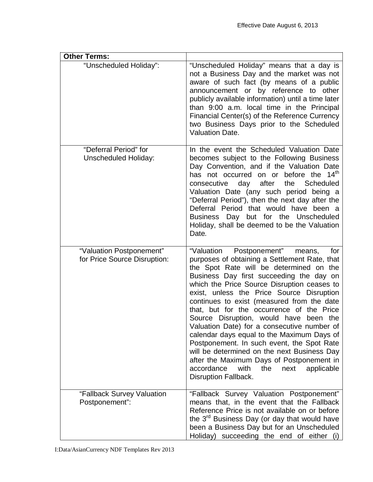| <b>Other Terms:</b>                                      |                                                                                                                                                                                                                                                                                                                                                                                                                                                                                                                                                                                                                                                                                                                                      |
|----------------------------------------------------------|--------------------------------------------------------------------------------------------------------------------------------------------------------------------------------------------------------------------------------------------------------------------------------------------------------------------------------------------------------------------------------------------------------------------------------------------------------------------------------------------------------------------------------------------------------------------------------------------------------------------------------------------------------------------------------------------------------------------------------------|
| "Unscheduled Holiday":                                   | "Unscheduled Holiday" means that a day is<br>not a Business Day and the market was not<br>aware of such fact (by means of a public<br>announcement or by reference to other<br>publicly available information) until a time later<br>than 9:00 a.m. local time in the Principal<br>Financial Center(s) of the Reference Currency<br>two Business Days prior to the Scheduled<br><b>Valuation Date.</b>                                                                                                                                                                                                                                                                                                                               |
| "Deferral Period" for<br><b>Unscheduled Holiday:</b>     | In the event the Scheduled Valuation Date<br>becomes subject to the Following Business<br>Day Convention, and if the Valuation Date<br>has not occurred on or before the 14 <sup>th</sup><br>day after<br>consecutive<br>the Scheduled<br>Valuation Date (any such period being a<br>"Deferral Period"), then the next day after the<br>Deferral Period that would have been a<br>Business Day but for the Unscheduled<br>Holiday, shall be deemed to be the Valuation<br>Date.                                                                                                                                                                                                                                                      |
| "Valuation Postponement"<br>for Price Source Disruption: | "Valuation Postponement"<br>means,<br>for<br>purposes of obtaining a Settlement Rate, that<br>the Spot Rate will be determined on the<br>Business Day first succeeding the day on<br>which the Price Source Disruption ceases to<br>exist, unless the Price Source Disruption<br>continues to exist (measured from the date<br>that, but for the occurrence of the Price<br>Source Disruption, would have been the<br>Valuation Date) for a consecutive number of<br>calendar days equal to the Maximum Days of<br>Postponement. In such event, the Spot Rate<br>will be determined on the next Business Day<br>after the Maximum Days of Postponement in<br>accordance<br>with<br>the<br>next<br>applicable<br>Disruption Fallback. |
| "Fallback Survey Valuation<br>Postponement":             | "Fallback Survey Valuation Postponement"<br>means that, in the event that the Fallback<br>Reference Price is not available on or before<br>the 3 <sup>rd</sup> Business Day (or day that would have<br>been a Business Day but for an Unscheduled<br>Holiday) succeeding the end of either (i)                                                                                                                                                                                                                                                                                                                                                                                                                                       |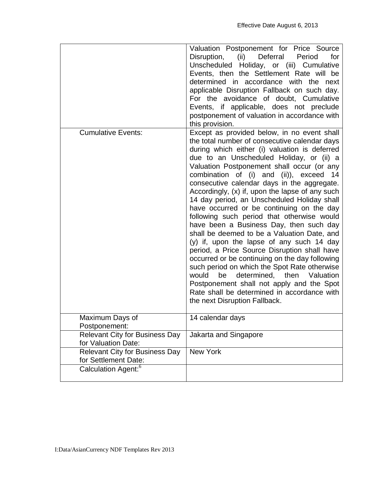|                                                               | Valuation Postponement for Price Source<br>Disruption, (ii) Deferral Period<br>for<br>Unscheduled Holiday, or (iii) Cumulative<br>Events, then the Settlement Rate will be<br>determined in accordance with the next<br>applicable Disruption Fallback on such day.<br>For the avoidance of doubt, Cumulative<br>Events, if applicable, does not preclude<br>postponement of valuation in accordance with<br>this provision.                                                                                                                                                                                                                                                                                                                                                                                                                                                                                                                                                                      |
|---------------------------------------------------------------|---------------------------------------------------------------------------------------------------------------------------------------------------------------------------------------------------------------------------------------------------------------------------------------------------------------------------------------------------------------------------------------------------------------------------------------------------------------------------------------------------------------------------------------------------------------------------------------------------------------------------------------------------------------------------------------------------------------------------------------------------------------------------------------------------------------------------------------------------------------------------------------------------------------------------------------------------------------------------------------------------|
| <b>Cumulative Events:</b>                                     | Except as provided below, in no event shall<br>the total number of consecutive calendar days<br>during which either (i) valuation is deferred<br>due to an Unscheduled Holiday, or (ii) a<br>Valuation Postponement shall occur (or any<br>combination of (i) and (ii)), exceed 14<br>consecutive calendar days in the aggregate.<br>Accordingly, (x) if, upon the lapse of any such<br>14 day period, an Unscheduled Holiday shall<br>have occurred or be continuing on the day<br>following such period that otherwise would<br>have been a Business Day, then such day<br>shall be deemed to be a Valuation Date, and<br>(y) if, upon the lapse of any such 14 day<br>period, a Price Source Disruption shall have<br>occurred or be continuing on the day following<br>such period on which the Spot Rate otherwise<br>would<br>determined, then Valuation<br>be<br>Postponement shall not apply and the Spot<br>Rate shall be determined in accordance with<br>the next Disruption Fallback. |
| Maximum Days of<br>Postponement:                              | 14 calendar days                                                                                                                                                                                                                                                                                                                                                                                                                                                                                                                                                                                                                                                                                                                                                                                                                                                                                                                                                                                  |
| <b>Relevant City for Business Day</b><br>for Valuation Date:  | Jakarta and Singapore                                                                                                                                                                                                                                                                                                                                                                                                                                                                                                                                                                                                                                                                                                                                                                                                                                                                                                                                                                             |
| <b>Relevant City for Business Day</b><br>for Settlement Date: | <b>New York</b>                                                                                                                                                                                                                                                                                                                                                                                                                                                                                                                                                                                                                                                                                                                                                                                                                                                                                                                                                                                   |
| Calculation Agent: <sup>6</sup>                               |                                                                                                                                                                                                                                                                                                                                                                                                                                                                                                                                                                                                                                                                                                                                                                                                                                                                                                                                                                                                   |